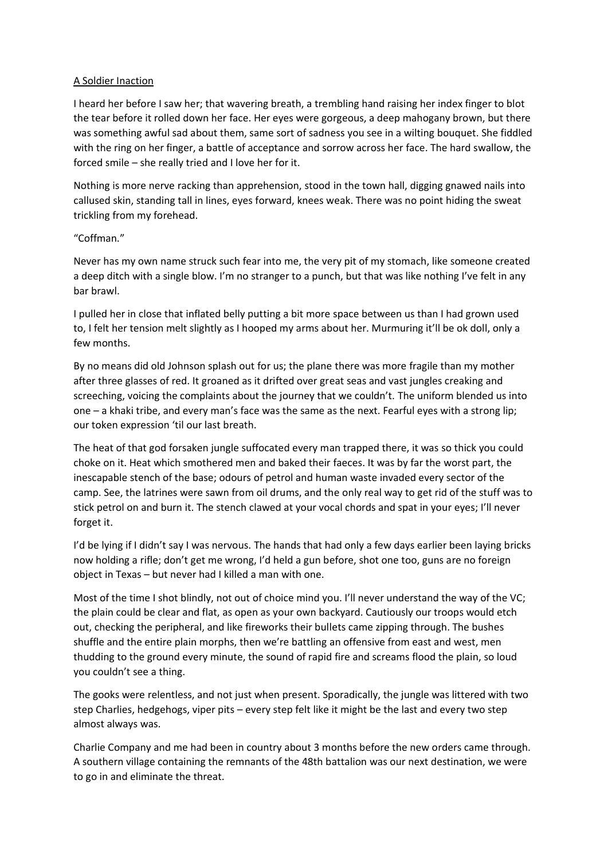## A Soldier Inaction

I heard her before I saw her; that wavering breath, a trembling hand raising her index finger to blot the tear before it rolled down her face. Her eyes were gorgeous, a deep mahogany brown, but there was something awful sad about them, same sort of sadness you see in a wilting bouquet. She fiddled with the ring on her finger, a battle of acceptance and sorrow across her face. The hard swallow, the forced smile – she really tried and I love her for it.

Nothing is more nerve racking than apprehension, stood in the town hall, digging gnawed nails into callused skin, standing tall in lines, eyes forward, knees weak. There was no point hiding the sweat trickling from my forehead.

## "Coffman."

Never has my own name struck such fear into me, the very pit of my stomach, like someone created a deep ditch with a single blow. I'm no stranger to a punch, but that was like nothing I've felt in any bar brawl.

I pulled her in close that inflated belly putting a bit more space between us than I had grown used to, I felt her tension melt slightly as I hooped my arms about her. Murmuring it'll be ok doll, only a few months.

By no means did old Johnson splash out for us; the plane there was more fragile than my mother after three glasses of red. It groaned as it drifted over great seas and vast jungles creaking and screeching, voicing the complaints about the journey that we couldn't. The uniform blended us into one – a khaki tribe, and every man's face was the same as the next. Fearful eyes with a strong lip; our token expression 'til our last breath.

The heat of that god forsaken jungle suffocated every man trapped there, it was so thick you could choke on it. Heat which smothered men and baked their faeces. It was by far the worst part, the inescapable stench of the base; odours of petrol and human waste invaded every sector of the camp. See, the latrines were sawn from oil drums, and the only real way to get rid of the stuff was to stick petrol on and burn it. The stench clawed at your vocal chords and spat in your eyes; I'll never forget it.

I'd be lying if I didn't say I was nervous. The hands that had only a few days earlier been laying bricks now holding a rifle; don't get me wrong, I'd held a gun before, shot one too, guns are no foreign object in Texas – but never had I killed a man with one.

Most of the time I shot blindly, not out of choice mind you. I'll never understand the way of the VC; the plain could be clear and flat, as open as your own backyard. Cautiously our troops would etch out, checking the peripheral, and like fireworks their bullets came zipping through. The bushes shuffle and the entire plain morphs, then we're battling an offensive from east and west, men thudding to the ground every minute, the sound of rapid fire and screams flood the plain, so loud you couldn't see a thing.

The gooks were relentless, and not just when present. Sporadically, the jungle was littered with two step Charlies, hedgehogs, viper pits – every step felt like it might be the last and every two step almost always was.

Charlie Company and me had been in country about 3 months before the new orders came through. A southern village containing the remnants of the 48th battalion was our next destination, we were to go in and eliminate the threat.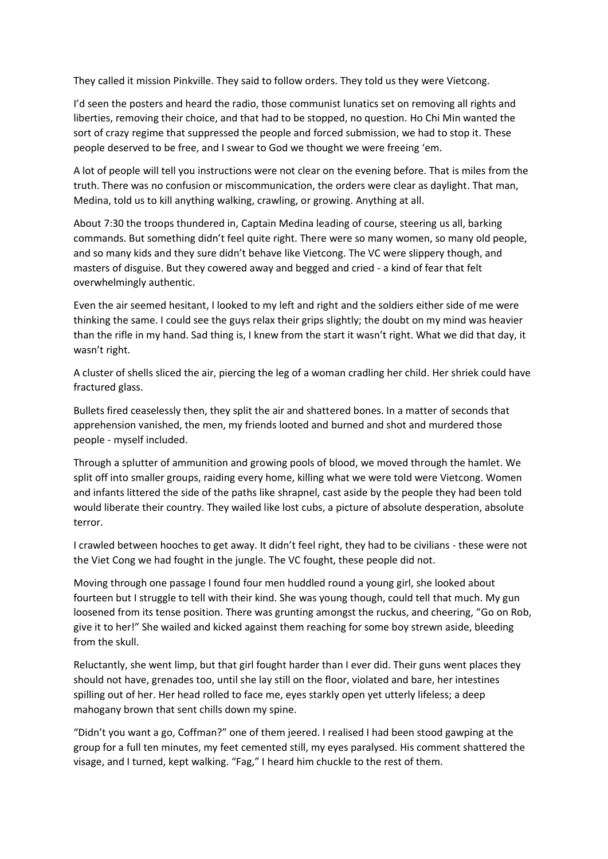They called it mission Pinkville. They said to follow orders. They told us they were Vietcong.

I'd seen the posters and heard the radio, those communist lunatics set on removing all rights and liberties, removing their choice, and that had to be stopped, no question. Ho Chi Min wanted the sort of crazy regime that suppressed the people and forced submission, we had to stop it. These people deserved to be free, and I swear to God we thought we were freeing 'em.

A lot of people will tell you instructions were not clear on the evening before. That is miles from the truth. There was no confusion or miscommunication, the orders were clear as daylight. That man, Medina, told us to kill anything walking, crawling, or growing. Anything at all.

About 7:30 the troops thundered in, Captain Medina leading of course, steering us all, barking commands. But something didn't feel quite right. There were so many women, so many old people, and so many kids and they sure didn't behave like Vietcong. The VC were slippery though, and masters of disguise. But they cowered away and begged and cried - a kind of fear that felt overwhelmingly authentic.

Even the air seemed hesitant, I looked to my left and right and the soldiers either side of me were thinking the same. I could see the guys relax their grips slightly; the doubt on my mind was heavier than the rifle in my hand. Sad thing is, I knew from the start it wasn't right. What we did that day, it wasn't right.

A cluster of shells sliced the air, piercing the leg of a woman cradling her child. Her shriek could have fractured glass.

Bullets fired ceaselessly then, they split the air and shattered bones. In a matter of seconds that apprehension vanished, the men, my friends looted and burned and shot and murdered those people - myself included.

Through a splutter of ammunition and growing pools of blood, we moved through the hamlet. We split off into smaller groups, raiding every home, killing what we were told were Vietcong. Women and infants littered the side of the paths like shrapnel, cast aside by the people they had been told would liberate their country. They wailed like lost cubs, a picture of absolute desperation, absolute terror.

I crawled between hooches to get away. It didn't feel right, they had to be civilians - these were not the Viet Cong we had fought in the jungle. The VC fought, these people did not.

Moving through one passage I found four men huddled round a young girl, she looked about fourteen but I struggle to tell with their kind. She was young though, could tell that much. My gun loosened from its tense position. There was grunting amongst the ruckus, and cheering, "Go on Rob, give it to her!" She wailed and kicked against them reaching for some boy strewn aside, bleeding from the skull.

Reluctantly, she went limp, but that girl fought harder than I ever did. Their guns went places they should not have, grenades too, until she lay still on the floor, violated and bare, her intestines spilling out of her. Her head rolled to face me, eyes starkly open yet utterly lifeless; a deep mahogany brown that sent chills down my spine.

"Didn't you want a go, Coffman?" one of them jeered. I realised I had been stood gawping at the group for a full ten minutes, my feet cemented still, my eyes paralysed. His comment shattered the visage, and I turned, kept walking. "Fag," I heard him chuckle to the rest of them.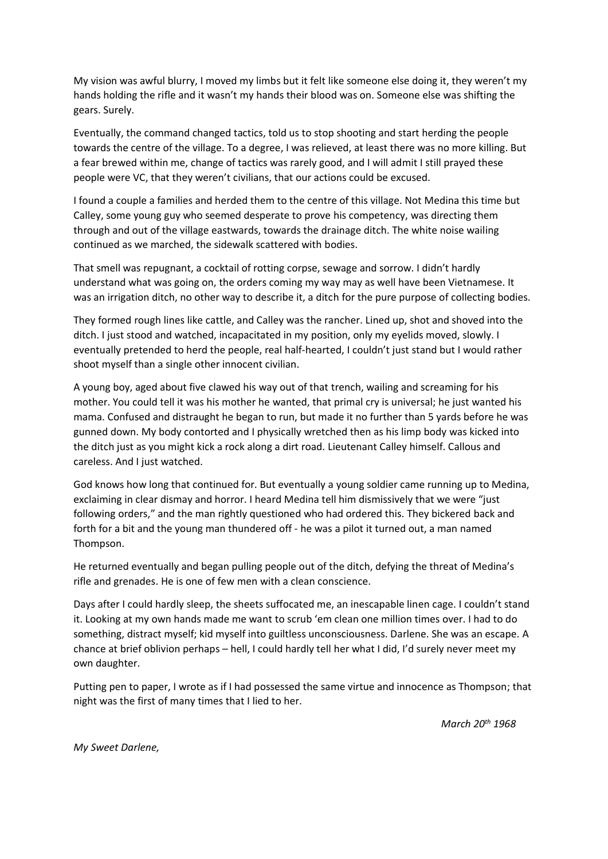My vision was awful blurry, I moved my limbs but it felt like someone else doing it, they weren't my hands holding the rifle and it wasn't my hands their blood was on. Someone else was shifting the gears. Surely.

Eventually, the command changed tactics, told us to stop shooting and start herding the people towards the centre of the village. To a degree, I was relieved, at least there was no more killing. But a fear brewed within me, change of tactics was rarely good, and I will admit I still prayed these people were VC, that they weren't civilians, that our actions could be excused.

I found a couple a families and herded them to the centre of this village. Not Medina this time but Calley, some young guy who seemed desperate to prove his competency, was directing them through and out of the village eastwards, towards the drainage ditch. The white noise wailing continued as we marched, the sidewalk scattered with bodies.

That smell was repugnant, a cocktail of rotting corpse, sewage and sorrow. I didn't hardly understand what was going on, the orders coming my way may as well have been Vietnamese. It was an irrigation ditch, no other way to describe it, a ditch for the pure purpose of collecting bodies.

They formed rough lines like cattle, and Calley was the rancher. Lined up, shot and shoved into the ditch. I just stood and watched, incapacitated in my position, only my eyelids moved, slowly. I eventually pretended to herd the people, real half-hearted, I couldn't just stand but I would rather shoot myself than a single other innocent civilian.

A young boy, aged about five clawed his way out of that trench, wailing and screaming for his mother. You could tell it was his mother he wanted, that primal cry is universal; he just wanted his mama. Confused and distraught he began to run, but made it no further than 5 yards before he was gunned down. My body contorted and I physically wretched then as his limp body was kicked into the ditch just as you might kick a rock along a dirt road. Lieutenant Calley himself. Callous and careless. And I just watched.

God knows how long that continued for. But eventually a young soldier came running up to Medina, exclaiming in clear dismay and horror. I heard Medina tell him dismissively that we were "just following orders," and the man rightly questioned who had ordered this. They bickered back and forth for a bit and the young man thundered off - he was a pilot it turned out, a man named Thompson.

He returned eventually and began pulling people out of the ditch, defying the threat of Medina's rifle and grenades. He is one of few men with a clean conscience.

Days after I could hardly sleep, the sheets suffocated me, an inescapable linen cage. I couldn't stand it. Looking at my own hands made me want to scrub 'em clean one million times over. I had to do something, distract myself; kid myself into guiltless unconsciousness. Darlene. She was an escape. A chance at brief oblivion perhaps – hell, I could hardly tell her what I did, I'd surely never meet my own daughter.

Putting pen to paper, I wrote as if I had possessed the same virtue and innocence as Thompson; that night was the first of many times that I lied to her.

*March 20th 1968*

*My Sweet Darlene,*